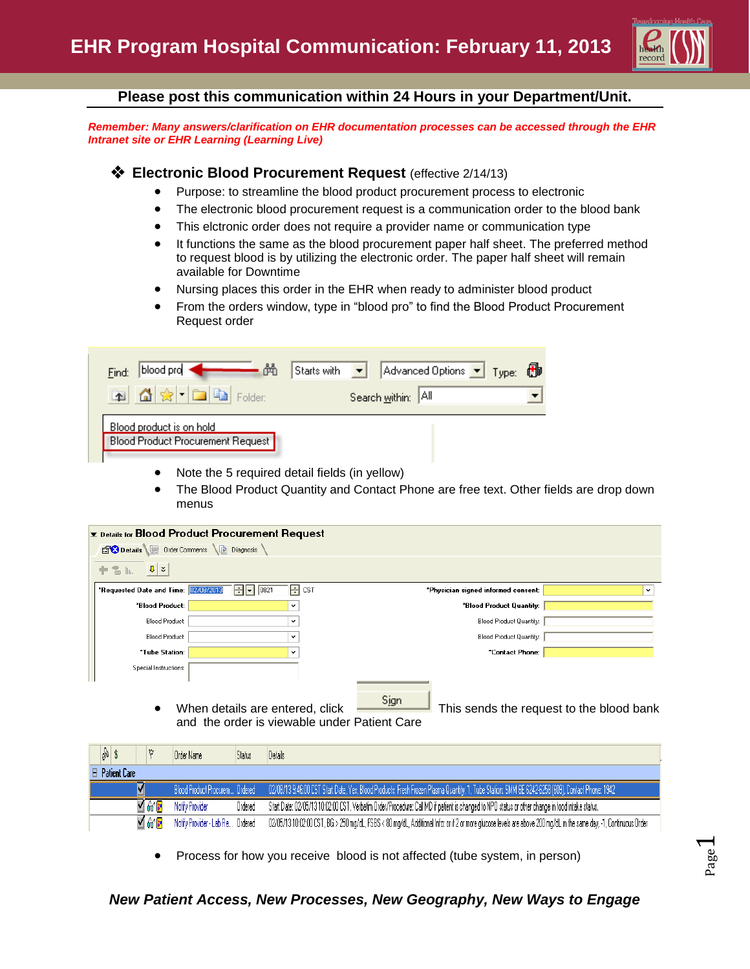

Page  $\overline{\phantom{0}}$ 

### **Please post this communication within 24 Hours in your Department/Unit.**

*Remember: Many answers/clarification on EHR documentation processes can be accessed through the EHR Intranet site or EHR Learning (Learning Live)*

### **Electronic Blood Procurement Request** (effective 2/14/13)

- Purpose: to streamline the blood product procurement process to electronic
- The electronic blood procurement request is a communication order to the blood bank
- This elctronic order does not require a provider name or communication type
- It functions the same as the blood procurement paper half sheet. The preferred method to request blood is by utilizing the electronic order. The paper half sheet will remain available for Downtime
- Nursing places this order in the EHR when ready to administer blood product
- From the orders window, type in "blood pro" to find the Blood Product Procurement Request order

| Find:                                                                | Starts with $\begin{array}{ c c c c c }\n\hline\n\end{array}$ Advanced Options $\begin{array}{ c c c }\n\hline\n\end{array}$ Type: $\begin{array}{ c c }\n\hline\n\end{array}$ |  |
|----------------------------------------------------------------------|--------------------------------------------------------------------------------------------------------------------------------------------------------------------------------|--|
| <b>Red A &amp; De Be</b> Folder:                                     | Search within: All                                                                                                                                                             |  |
| Blood product is on hold<br><b>Blood Product Procurement Request</b> |                                                                                                                                                                                |  |

- Note the 5 required detail fields (in yellow)
- The Blood Product Quantity and Contact Phone are free text. Other fields are drop down menus

| $\mathbf{\Sigma}$ Details for Blood Product Procurement Request                              |                                                     |  |  |  |  |  |
|----------------------------------------------------------------------------------------------|-----------------------------------------------------|--|--|--|--|--|
| Details Order Comments<br><b>Diagnosis</b>                                                   |                                                     |  |  |  |  |  |
| $\left  \mathbf{0} \right $ $\infty$<br>十名际                                                  |                                                     |  |  |  |  |  |
| H cst<br>HF<br>*Requested Date and Time: 02/08/2013<br> 0821                                 | *Physician signed informed consent:<br>$\checkmark$ |  |  |  |  |  |
| <b>"Blood Product:</b><br>$\checkmark$                                                       | "Blood Product Quantity:                            |  |  |  |  |  |
| Blood Product:<br>$\checkmark$                                                               | Blood Product Quantity:                             |  |  |  |  |  |
| <b>Blood Product:</b><br>v                                                                   | Blood Product Quantity:                             |  |  |  |  |  |
| "Tube Station:<br>$\checkmark$                                                               | "Contact Phone:                                     |  |  |  |  |  |
| Special Instructions:                                                                        |                                                     |  |  |  |  |  |
| When details are entered, click<br>$\bullet$<br>and the order is viewable under Patient Care | Sign<br>This sends the request to the blood bank    |  |  |  |  |  |

| 8s                       | Order Name                       | Status  | Details                                                                                                                                                                         |  |  |  |
|--------------------------|----------------------------------|---------|---------------------------------------------------------------------------------------------------------------------------------------------------------------------------------|--|--|--|
| $\boxminus$ Patient Care |                                  |         |                                                                                                                                                                                 |  |  |  |
|                          |                                  |         | Blood Product Procurem Ordered 02/08/13 9:46:00 CST Start Date, Yes, Blood Products: Fresh Frozen Plasma Quantity: 1, Tube Station: SMM 6E 6242-6258 (609), Contact Phone: 1942 |  |  |  |
| 160 <mark>F</mark>       | Notify Provider                  | Ordered | Start Date: 02/05/13 10:02:00 CST, Verbatim Order/Procedure: Call MD if patient is changed to NPO status or other change in food intake status.                                 |  |  |  |
| ⊻ ‰ ¦∙                   | Notify Provider - Lab Re Ordered |         | 02/05/13 10:02:00 CST, BG > 250 mg/dL, FSBS < 80 mg/dL, Additional Info: or if 2 or more glucose levels are above 200 mg/dL in the same day, -1, Continuous Order               |  |  |  |

Process for how you receive blood is not affected (tube system, in person)

### *New Patient Access, New Processes, New Geography, New Ways to Engage*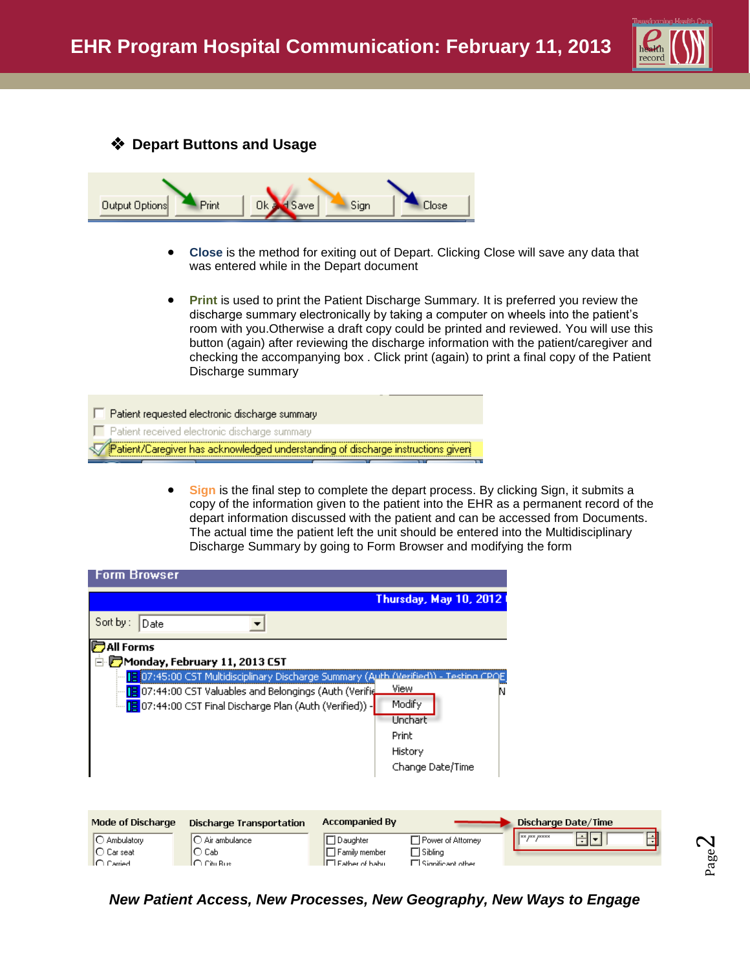

Page  $\boldsymbol{\sim}$ 





- **Close** is the method for exiting out of Depart. Clicking Close will save any data that was entered while in the Depart document
- **Print** is used to print the Patient Discharge Summary. It is preferred you review the discharge summary electronically by taking a computer on wheels into the patient's room with you.Otherwise a draft copy could be printed and reviewed. You will use this button (again) after reviewing the discharge information with the patient/caregiver and checking the accompanying box . Click print (again) to print a final copy of the Patient Discharge summary

Patient requested electronic discharge summary п. F Patient received electronic discharge summary Patient/Caregiver has acknowledged understanding of discharge instructions giver{

> **Sign** is the final step to complete the depart process. By clicking Sign, it submits a copy of the information given to the patient into the EHR as a permanent record of the depart information discussed with the patient and can be accessed from Documents. The actual time the patient left the unit should be entered into the Multidisciplinary Discharge Summary by going to Form Browser and modifying the form

| <b>Form Browser</b>      |                                                          |                                                                                               |  |  |  |  |
|--------------------------|----------------------------------------------------------|-----------------------------------------------------------------------------------------------|--|--|--|--|
|                          |                                                          | <b>Thursday, May 10, 2012</b>                                                                 |  |  |  |  |
| Sort by :<br>Date        |                                                          |                                                                                               |  |  |  |  |
| <b>D</b> All Forms       |                                                          |                                                                                               |  |  |  |  |
|                          | $\Box$ Monday, February 11, 2013 CST                     |                                                                                               |  |  |  |  |
|                          |                                                          | 15:07:45:00 CST Multidisciplinary Discharge Summary (Auth (Nerified)) - Testing CPOE          |  |  |  |  |
|                          | 07:44:00 CST Valuables and Belongings (Auth (Verifie     | View                                                                                          |  |  |  |  |
|                          | [E 07:44:00 CST Final Discharge Plan (Auth (Verified)) - | Modify                                                                                        |  |  |  |  |
|                          |                                                          | Unchart                                                                                       |  |  |  |  |
|                          |                                                          | Print                                                                                         |  |  |  |  |
|                          |                                                          | History                                                                                       |  |  |  |  |
|                          |                                                          | Change Date/Time                                                                              |  |  |  |  |
|                          |                                                          |                                                                                               |  |  |  |  |
|                          |                                                          |                                                                                               |  |  |  |  |
|                          |                                                          |                                                                                               |  |  |  |  |
| <b>Mode of Discharge</b> | <b>Discharge Transportation</b>                          | <b>Accompanied By</b><br>Discharge Date/Time                                                  |  |  |  |  |
| C Ambulatory             | $\bigcirc$ Air ambulance                                 | $x \rightarrow y \times z \times x \times x$<br>╶╢╸<br>□ Power of Attorney<br>$\Box$ Daughter |  |  |  |  |
| $\bigcirc$ Carseat       | O Cabi                                                   | $\Box$ Family member<br>$\Box$ Sibling                                                        |  |  |  |  |
| $\cap$ Carried.          | l∩ ∩itu Busi                                             | $\Box$ Eather of babu<br>$\Box$ Significant other                                             |  |  |  |  |

*New Patient Access, New Processes, New Geography, New Ways to Engage*